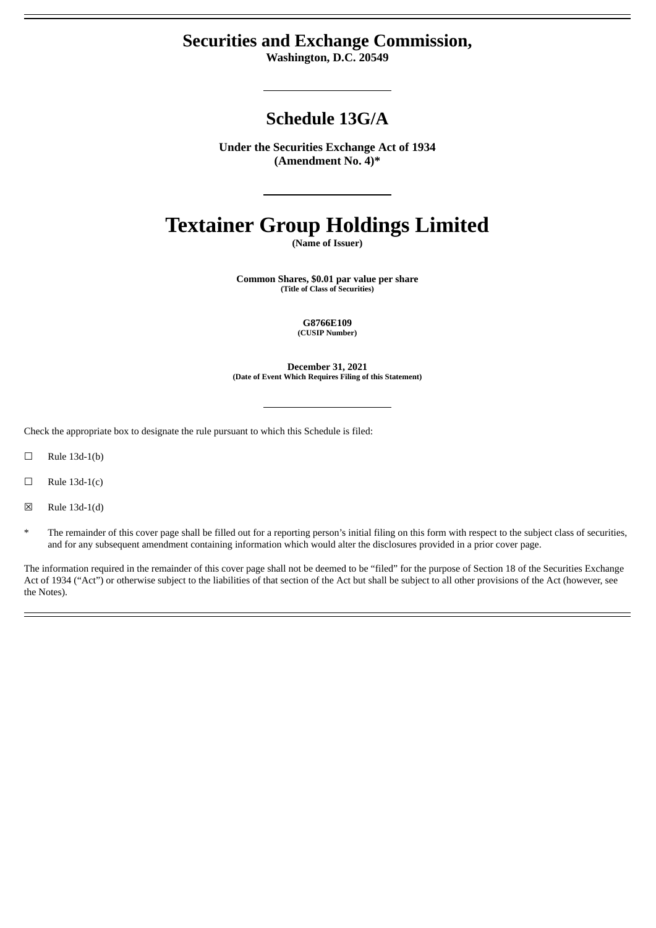## **Securities and Exchange Commission,**

**Washington, D.C. 20549**

# **Schedule 13G/A**

**Under the Securities Exchange Act of 1934 (Amendment No. 4)\***

# **Textainer Group Holdings Limited**

**(Name of Issuer)**

**Common Shares, \$0.01 par value per share (Title of Class of Securities)**

> **G8766E109 (CUSIP Number)**

**December 31, 2021 (Date of Event Which Requires Filing of this Statement)**

Check the appropriate box to designate the rule pursuant to which this Schedule is filed:

- $\Box$  Rule 13d-1(b)
- $\Box$  Rule 13d-1(c)
- ☒ Rule 13d-1(d)
- The remainder of this cover page shall be filled out for a reporting person's initial filing on this form with respect to the subject class of securities, and for any subsequent amendment containing information which would alter the disclosures provided in a prior cover page.

The information required in the remainder of this cover page shall not be deemed to be "filed" for the purpose of Section 18 of the Securities Exchange Act of 1934 ("Act") or otherwise subject to the liabilities of that section of the Act but shall be subject to all other provisions of the Act (however, see the Notes).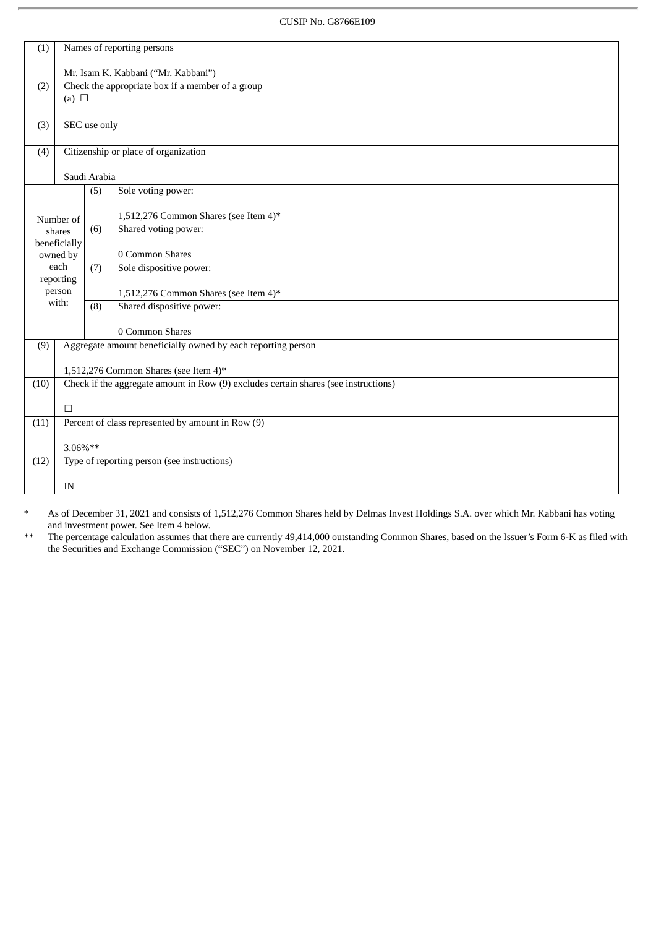CUSIP No. G8766E109

| Names of reporting persons<br>(1)                                                                            |                                                                                     |                                             |                                       |
|--------------------------------------------------------------------------------------------------------------|-------------------------------------------------------------------------------------|---------------------------------------------|---------------------------------------|
|                                                                                                              | Mr. Isam K. Kabbani ("Mr. Kabbani")                                                 |                                             |                                       |
| (2)                                                                                                          | Check the appropriate box if a member of a group                                    |                                             |                                       |
|                                                                                                              | (a) $\Box$                                                                          |                                             |                                       |
| (3)                                                                                                          | SEC use only                                                                        |                                             |                                       |
| (4)                                                                                                          | Citizenship or place of organization                                                |                                             |                                       |
|                                                                                                              | Saudi Arabia                                                                        |                                             |                                       |
|                                                                                                              |                                                                                     | (5)                                         | Sole voting power:                    |
|                                                                                                              | Number of                                                                           |                                             | 1,512,276 Common Shares (see Item 4)* |
|                                                                                                              | shares                                                                              | (6)                                         | Shared voting power:                  |
|                                                                                                              | beneficially<br>owned by                                                            |                                             | 0 Common Shares                       |
|                                                                                                              | each<br>reporting                                                                   | (7)                                         | Sole dispositive power:               |
|                                                                                                              | person                                                                              |                                             | 1,512,276 Common Shares (see Item 4)* |
| with:                                                                                                        |                                                                                     | (8)                                         | Shared dispositive power:             |
|                                                                                                              |                                                                                     |                                             | 0 Common Shares                       |
| Aggregate amount beneficially owned by each reporting person<br>(9)<br>1,512,276 Common Shares (see Item 4)* |                                                                                     |                                             |                                       |
|                                                                                                              |                                                                                     |                                             |                                       |
| (10)                                                                                                         | Check if the aggregate amount in Row (9) excludes certain shares (see instructions) |                                             |                                       |
|                                                                                                              | $\Box$                                                                              |                                             |                                       |
| (11)                                                                                                         | Percent of class represented by amount in Row (9)                                   |                                             |                                       |
|                                                                                                              | 3.06%**                                                                             |                                             |                                       |
| (12)                                                                                                         |                                                                                     | Type of reporting person (see instructions) |                                       |
| IN                                                                                                           |                                                                                     |                                             |                                       |
|                                                                                                              |                                                                                     |                                             |                                       |

\* As of December 31, 2021 and consists of 1,512,276 Common Shares held by Delmas Invest Holdings S.A. over which Mr. Kabbani has voting and investment power. See Item 4 below.

\*\* The percentage calculation assumes that there are currently 49,414,000 outstanding Common Shares, based on the Issuer's Form 6-K as filed with the Securities and Exchange Commission ("SEC") on November 12, 2021.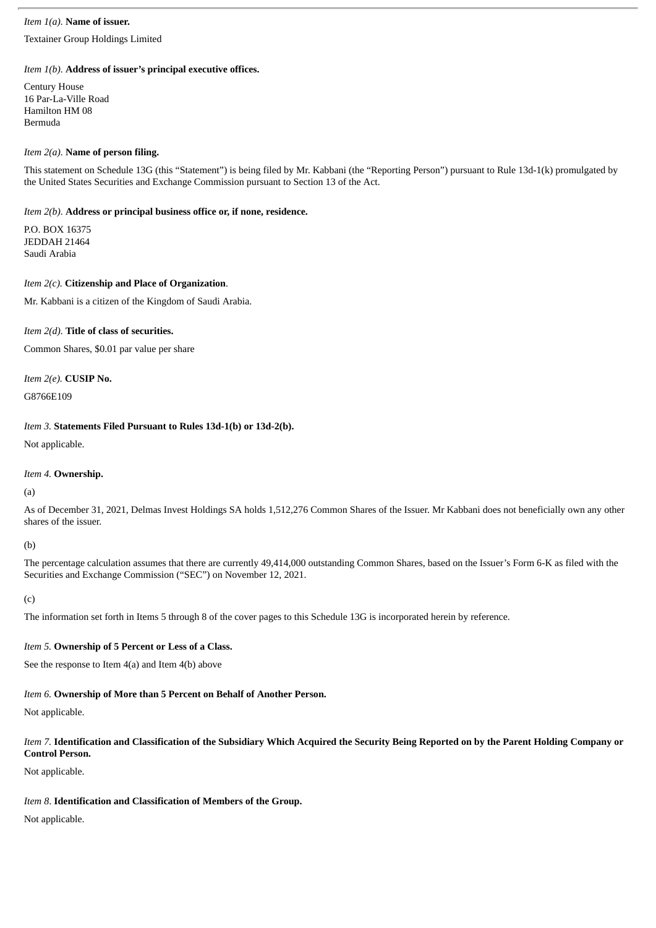#### *Item 1(a).* **Name of issuer.**

Textainer Group Holdings Limited

#### *Item 1(b).* **Address of issuer's principal executive offices.**

Century House 16 Par-La-Ville Road Hamilton HM 08 Bermuda

#### *Item 2(a).* **Name of person filing.**

This statement on Schedule 13G (this "Statement") is being filed by Mr. Kabbani (the "Reporting Person") pursuant to Rule 13d-1(k) promulgated by the United States Securities and Exchange Commission pursuant to Section 13 of the Act.

#### *Item 2(b).* **Address or principal business office or, if none, residence.**

P.O. BOX 16375 JEDDAH 21464 Saudi Arabia

#### *Item 2(c).* **Citizenship and Place of Organization**.

Mr. Kabbani is a citizen of the Kingdom of Saudi Arabia.

### *Item 2(d).* **Title of class of securities.**

Common Shares, \$0.01 par value per share

*Item 2(e).* **CUSIP No.**

G8766E109

### *Item 3.* **Statements Filed Pursuant to Rules 13d-1(b) or 13d-2(b).**

Not applicable.

### *Item 4.* **Ownership.**

(a)

As of December 31, 2021, Delmas Invest Holdings SA holds 1,512,276 Common Shares of the Issuer. Mr Kabbani does not beneficially own any other shares of the issuer.

#### (b)

The percentage calculation assumes that there are currently 49,414,000 outstanding Common Shares, based on the Issuer's Form 6-K as filed with the Securities and Exchange Commission ("SEC") on November 12, 2021.

(c)

The information set forth in Items 5 through 8 of the cover pages to this Schedule 13G is incorporated herein by reference.

### *Item 5.* **Ownership of 5 Percent or Less of a Class.**

See the response to Item 4(a) and Item 4(b) above

## *Item 6.* **Ownership of More than 5 Percent on Behalf of Another Person.**

Not applicable.

#### Item 7. Identification and Classification of the Subsidiary Which Acquired the Security Being Reported on by the Parent Holding Company or **Control Person.**

Not applicable.

### *Item 8*. **Identification and Classification of Members of the Group.**

Not applicable.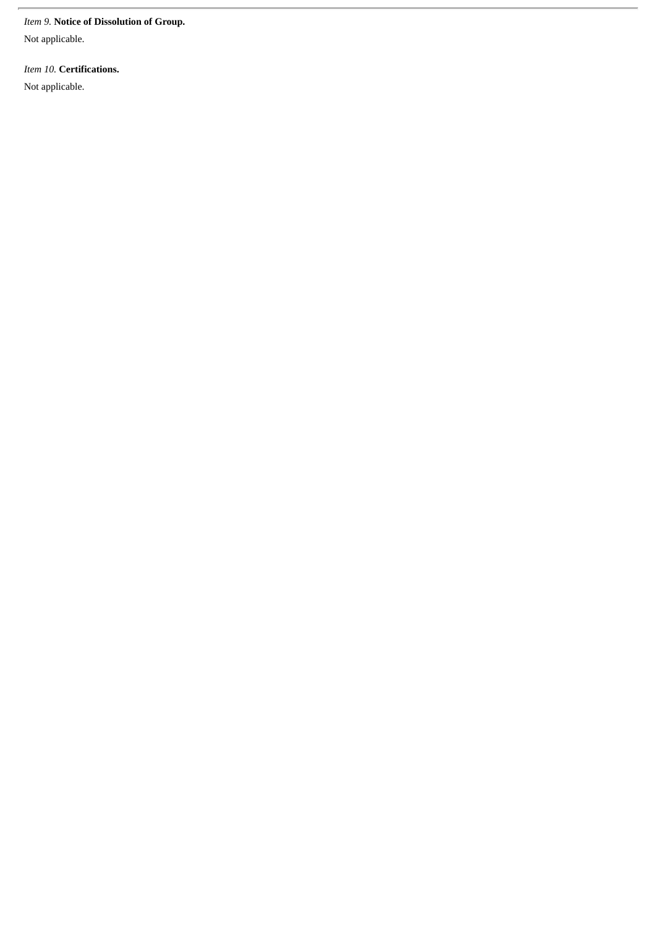#### *Item 9.* **Notice of Dissolution of Group.**

Not applicable.

*Item 10.* **Certifications.**

Not applicable.